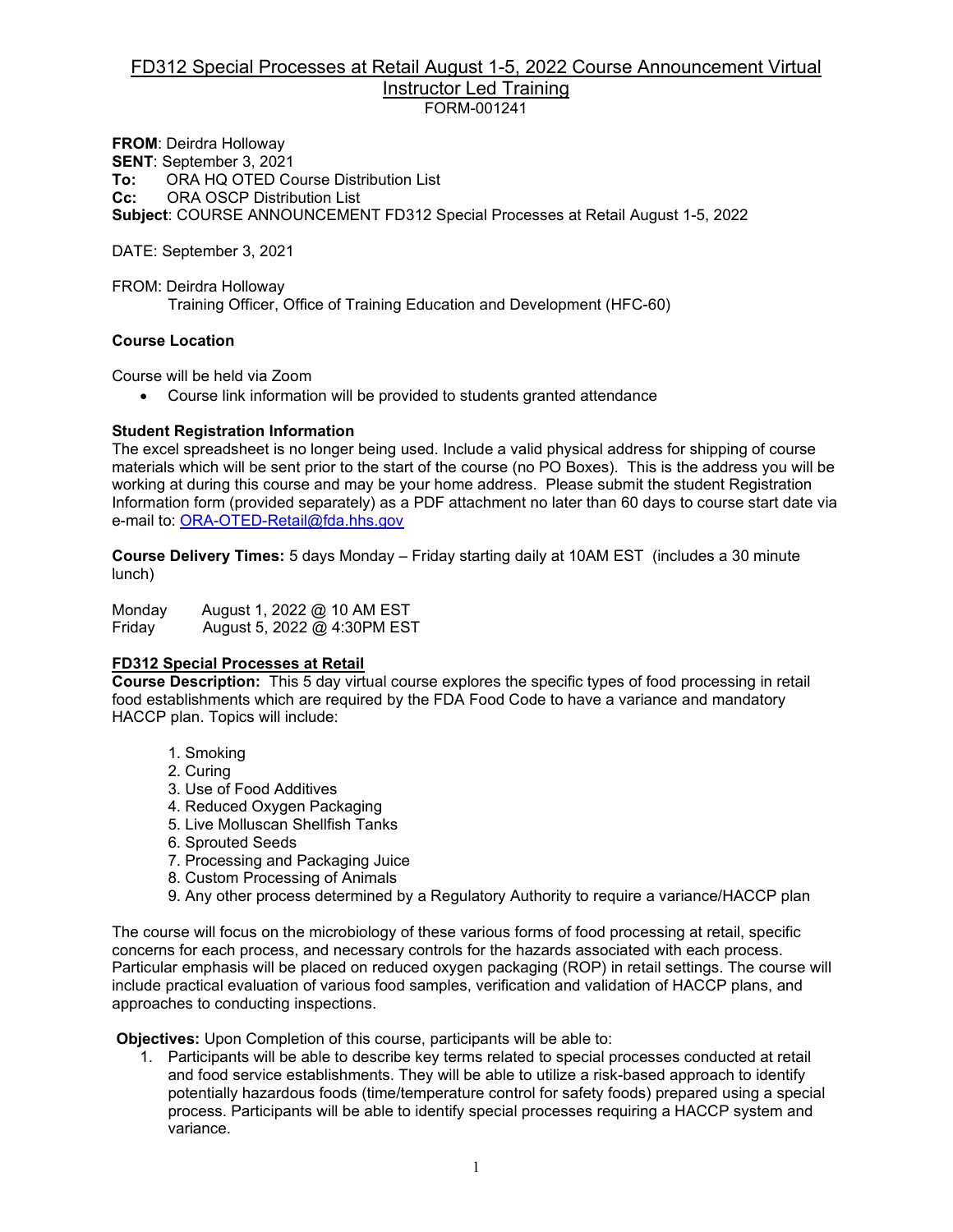#### FD312 Special Processes at Retail August 1-5, 2022 Course Announcement Virtual Instructor Led Training FORM-001241

**FROM**: Deirdra Holloway **SENT**: September 3, 2021 **To:** ORA HQ OTED Course Distribution List<br>**Cc:** ORA OSCP Distribution List **CRA OSCP Distribution List Subject**: COURSE ANNOUNCEMENT FD312 Special Processes at Retail August 1-5, 2022

DATE: September 3, 2021

FROM: Deirdra Holloway Training Officer, Office of Training Education and Development (HFC-60)

#### **Course Location**

Course will be held via Zoom

• Course link information will be provided to students granted attendance

#### **Student Registration Information**

The excel spreadsheet is no longer being used. Include a valid physical address for shipping of course materials which will be sent prior to the start of the course (no PO Boxes). This is the address you will be working at during this course and may be your home address. Please submit the student Registration Information form (provided separately) as a PDF attachment no later than 60 days to course start date via e-mail to: [ORA-OTED-Retail@fda.hhs.gov](mailto:ORA-OTED-Retail@fda.hhs.gov)

**Course Delivery Times:** 5 days Monday – Friday starting daily at 10AM EST (includes a 30 minute lunch)

Monday August 1, 2022 @ 10 AM EST Friday August 5, 2022 @ 4:30PM EST

## **FD312 Special Processes at Retail**

**Course Description:** This 5 day virtual course explores the specific types of food processing in retail food establishments which are required by the FDA Food Code to have a variance and mandatory HACCP plan. Topics will include:

- 1. Smoking
- 2. Curing
- 3. Use of Food Additives
- 4. Reduced Oxygen Packaging
- 5. Live Molluscan Shellfish Tanks
- 6. Sprouted Seeds
- 7. Processing and Packaging Juice
- 8. Custom Processing of Animals
- 9. Any other process determined by a Regulatory Authority to require a variance/HACCP plan

The course will focus on the microbiology of these various forms of food processing at retail, specific concerns for each process, and necessary controls for the hazards associated with each process. Particular emphasis will be placed on reduced oxygen packaging (ROP) in retail settings. The course will include practical evaluation of various food samples, verification and validation of HACCP plans, and approaches to conducting inspections.

**Objectives:** Upon Completion of this course, participants will be able to:

1. Participants will be able to describe key terms related to special processes conducted at retail and food service establishments. They will be able to utilize a risk-based approach to identify potentially hazardous foods (time/temperature control for safety foods) prepared using a special process. Participants will be able to identify special processes requiring a HACCP system and variance.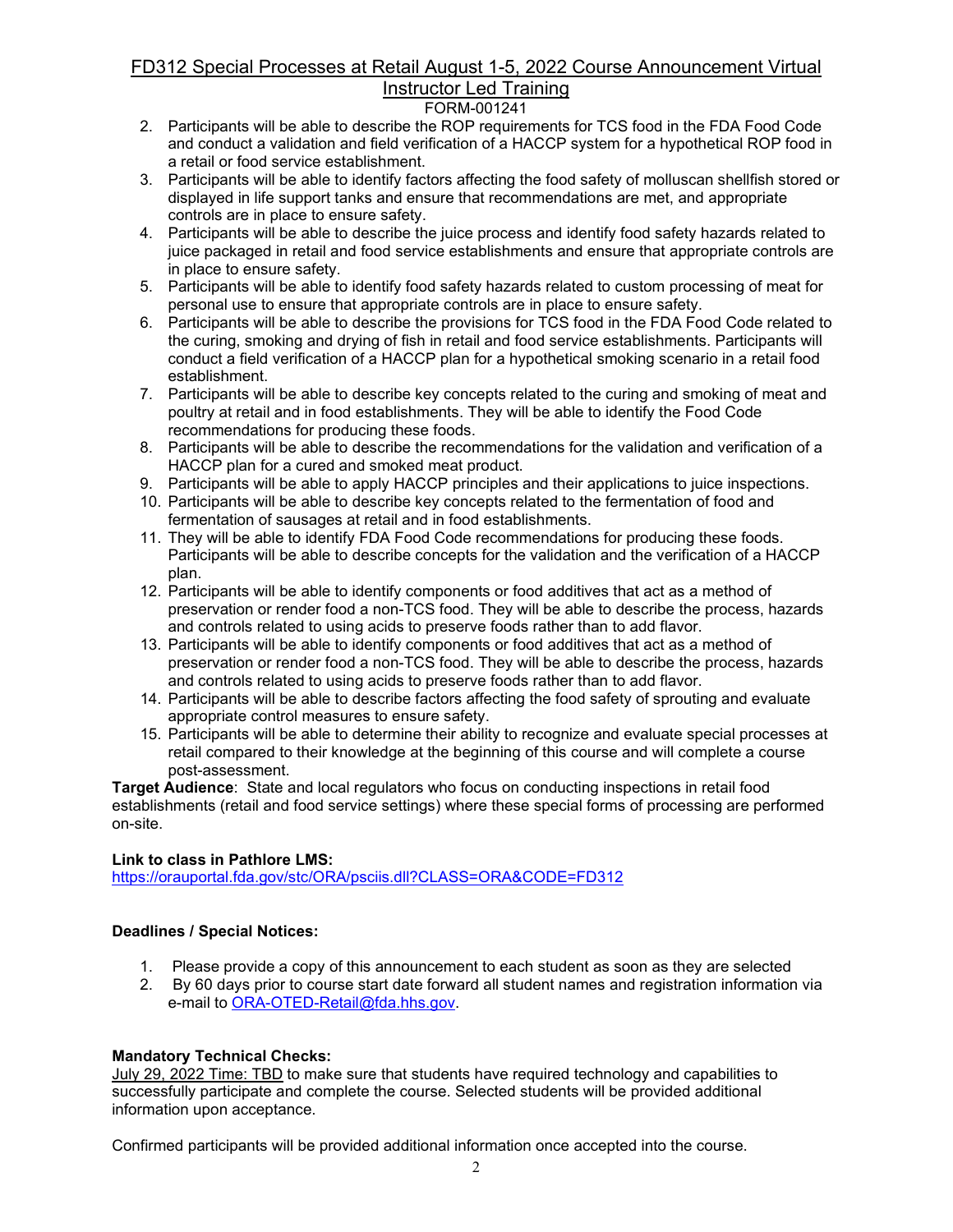## FD312 Special Processes at Retail August 1-5, 2022 Course Announcement Virtual Instructor Led Training

## FORM-001241

- 2. Participants will be able to describe the ROP requirements for TCS food in the FDA Food Code and conduct a validation and field verification of a HACCP system for a hypothetical ROP food in a retail or food service establishment.
- 3. Participants will be able to identify factors affecting the food safety of molluscan shellfish stored or displayed in life support tanks and ensure that recommendations are met, and appropriate controls are in place to ensure safety.
- 4. Participants will be able to describe the juice process and identify food safety hazards related to juice packaged in retail and food service establishments and ensure that appropriate controls are in place to ensure safety.
- 5. Participants will be able to identify food safety hazards related to custom processing of meat for personal use to ensure that appropriate controls are in place to ensure safety.
- 6. Participants will be able to describe the provisions for TCS food in the FDA Food Code related to the curing, smoking and drying of fish in retail and food service establishments. Participants will conduct a field verification of a HACCP plan for a hypothetical smoking scenario in a retail food establishment.
- 7. Participants will be able to describe key concepts related to the curing and smoking of meat and poultry at retail and in food establishments. They will be able to identify the Food Code recommendations for producing these foods.
- 8. Participants will be able to describe the recommendations for the validation and verification of a HACCP plan for a cured and smoked meat product.
- 9. Participants will be able to apply HACCP principles and their applications to juice inspections.
- 10. Participants will be able to describe key concepts related to the fermentation of food and fermentation of sausages at retail and in food establishments.
- 11. They will be able to identify FDA Food Code recommendations for producing these foods. Participants will be able to describe concepts for the validation and the verification of a HACCP plan.
- 12. Participants will be able to identify components or food additives that act as a method of preservation or render food a non-TCS food. They will be able to describe the process, hazards and controls related to using acids to preserve foods rather than to add flavor.
- 13. Participants will be able to identify components or food additives that act as a method of preservation or render food a non-TCS food. They will be able to describe the process, hazards and controls related to using acids to preserve foods rather than to add flavor.
- 14. Participants will be able to describe factors affecting the food safety of sprouting and evaluate appropriate control measures to ensure safety.
- 15. Participants will be able to determine their ability to recognize and evaluate special processes at retail compared to their knowledge at the beginning of this course and will complete a course post-assessment.

**Target Audience**:State and local regulators who focus on conducting inspections in retail food establishments (retail and food service settings) where these special forms of processing are performed on-site.

## **Link to class in Pathlore LMS:**

<https://orauportal.fda.gov/stc/ORA/psciis.dll?CLASS=ORA&CODE=FD312>

## **Deadlines / Special Notices:**

- 1. Please provide a copy of this announcement to each student as soon as they are selected
- 2. By 60 days prior to course start date forward all student names and registration information via e-mail to [ORA-OTED-Retail@fda.hhs.gov.](mailto:ORA-OTED-Retail@fda.hhs.gov)

## **Mandatory Technical Checks:**

July 29, 2022 Time: TBD to make sure that students have required technology and capabilities to successfully participate and complete the course. Selected students will be provided additional information upon acceptance.

Confirmed participants will be provided additional information once accepted into the course.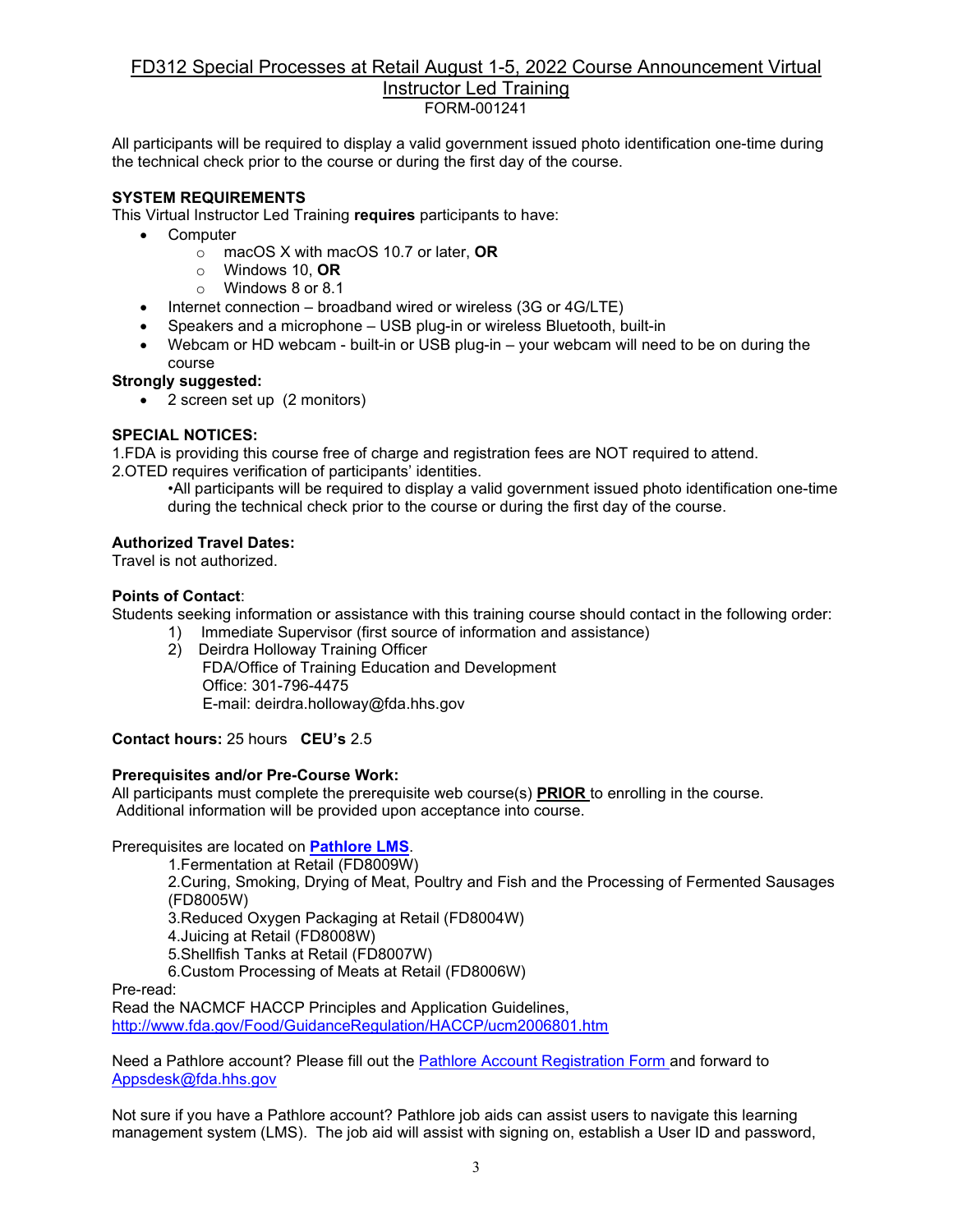#### FD312 Special Processes at Retail August 1-5, 2022 Course Announcement Virtual Instructor Led Training FORM-001241

All participants will be required to display a valid government issued photo identification one-time during the technical check prior to the course or during the first day of the course.

## **SYSTEM REQUIREMENTS**

This Virtual Instructor Led Training **requires** participants to have:

- Computer
	- o macOS X with macOS 10.7 or later, **OR**
		- o Windows 10, **OR**
		- o Windows 8 or 8.1
- Internet connection broadband wired or wireless (3G or 4G/LTE)
- Speakers and a microphone USB plug-in or wireless Bluetooth, built-in
- Webcam or HD webcam built-in or USB plug-in your webcam will need to be on during the course

#### **Strongly suggested:**

• 2 screen set up (2 monitors)

#### **SPECIAL NOTICES:**

1.FDA is providing this course free of charge and registration fees are NOT required to attend. 2.OTED requires verification of participants' identities.

•All participants will be required to display a valid government issued photo identification one-time during the technical check prior to the course or during the first day of the course.

#### **Authorized Travel Dates:**

Travel is not authorized.

#### **Points of Contact**:

Students seeking information or assistance with this training course should contact in the following order:

- 1) Immediate Supervisor (first source of information and assistance)
	- 2) Deirdra Holloway Training Officer FDA/Office of Training Education and Development Office: 301-796-4475 E-mail: deirdra.holloway@fda.hhs.gov

**Contact hours:** 25 hours **CEU's** 2.5

#### **Prerequisites and/or Pre-Course Work:**

All participants must complete the prerequisite web course(s) **PRIOR** to enrolling in the course. Additional information will be provided upon acceptance into course.

Prerequisites are located on **[Pathlore LMS](https://orauportal.fda.gov/stc/ORA/psciis.dll?linkid=383299&mainmenu=ORA&top_frame=1)**.

1.Fermentation at Retail (FD8009W)

2.Curing, Smoking, Drying of Meat, Poultry and Fish and the Processing of Fermented Sausages (FD8005W)

3.Reduced Oxygen Packaging at Retail (FD8004W)

4.Juicing at Retail (FD8008W)

5.Shellfish Tanks at Retail (FD8007W)

6.Custom Processing of Meats at Retail (FD8006W)

Pre-read:

Read the NACMCF HACCP Principles and Application Guidelines, <http://www.fda.gov/Food/GuidanceRegulation/HACCP/ucm2006801.htm>

Need a Pathlore account? Please fill out the [Pathlore Account Registration Form a](https://orauportal.fda.gov/stc/ORA/OTEDPathloreRegistrationAccountRequestForm.pdf)nd forward to [Appsdesk@fda.hhs.gov](mailto:Appsdesk@fda.hhs.gov)

Not sure if you have a Pathlore account? Pathlore job aids can assist users to navigate this learning management system (LMS). The job aid will assist with signing on, establish a User ID and password,